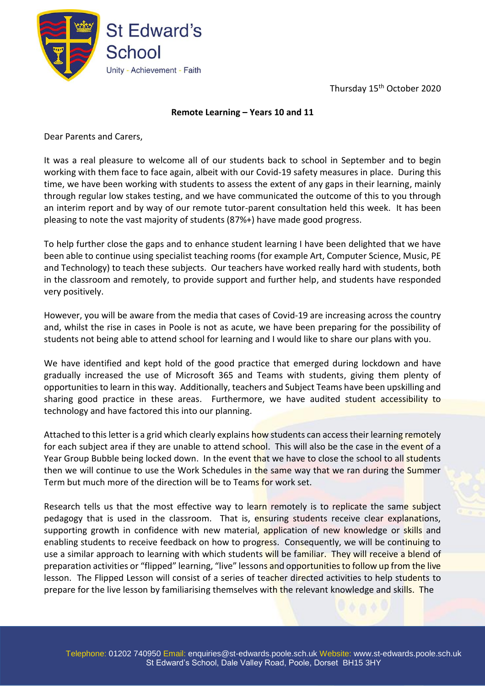Thursday 15<sup>th</sup> October 2020



## **Remote Learning – Years 10 and 11**

Dear Parents and Carers,

It was a real pleasure to welcome all of our students back to school in September and to begin working with them face to face again, albeit with our Covid-19 safety measures in place. During this time, we have been working with students to assess the extent of any gaps in their learning, mainly through regular low stakes testing, and we have communicated the outcome of this to you through an interim report and by way of our remote tutor-parent consultation held this week. It has been pleasing to note the vast majority of students (87%+) have made good progress.

To help further close the gaps and to enhance student learning I have been delighted that we have been able to continue using specialist teaching rooms (for example Art, Computer Science, Music, PE and Technology) to teach these subjects. Our teachers have worked really hard with students, both in the classroom and remotely, to provide support and further help, and students have responded very positively.

However, you will be aware from the media that cases of Covid-19 are increasing across the country and, whilst the rise in cases in Poole is not as acute, we have been preparing for the possibility of students not being able to attend school for learning and I would like to share our plans with you.

We have identified and kept hold of the good practice that emerged during lockdown and have gradually increased the use of Microsoft 365 and Teams with students, giving them plenty of opportunities to learn in this way. Additionally, teachers and Subject Teams have been upskilling and sharing good practice in these areas. Furthermore, we have audited student accessibility to technology and have factored this into our planning.

Attached to this letter is a grid which clearly explains how students can access their learning remotely for each subject area if they are unable to attend school. This will also be the case in the event of a Year Group Bubble being locked down. In the event that we have to close the school to all students then we will continue to use the Work Schedules in the same way that we ran during the Summer Term but much more of the direction will be to Teams for work set.

Research tells us that the most effective way to learn remotely is to replicate the same subject pedagogy that is used in the classroom. That is, ensuring students receive clear explanations, supporting growth in confidence with new material, application of new knowledge or skills and enabling students to receive feedback on how to progress. Consequently, we will be continuing to use a similar approach to learning with which students will be familiar. They will receive a blend of preparation activities or "flipped" learning, "live" lessons and opportunities to follow up from the live lesson. The Flipped Lesson will consist of a series of teacher directed activities to help students to prepare for the live lesson by familiarising themselves with the relevant knowledge and skills. The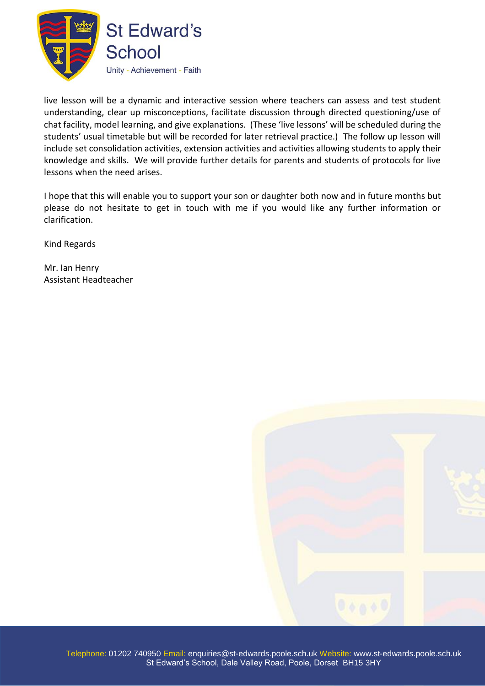

live lesson will be a dynamic and interactive session where teachers can assess and test student understanding, clear up misconceptions, facilitate discussion through directed questioning/use of chat facility, model learning, and give explanations. (These 'live lessons' will be scheduled during the students' usual timetable but will be recorded for later retrieval practice.) The follow up lesson will include set consolidation activities, extension activities and activities allowing students to apply their knowledge and skills. We will provide further details for parents and students of protocols for live lessons when the need arises.

I hope that this will enable you to support your son or daughter both now and in future months but please do not hesitate to get in touch with me if you would like any further information or clarification.

Kind Regards

Mr. Ian Henry Assistant Headteacher

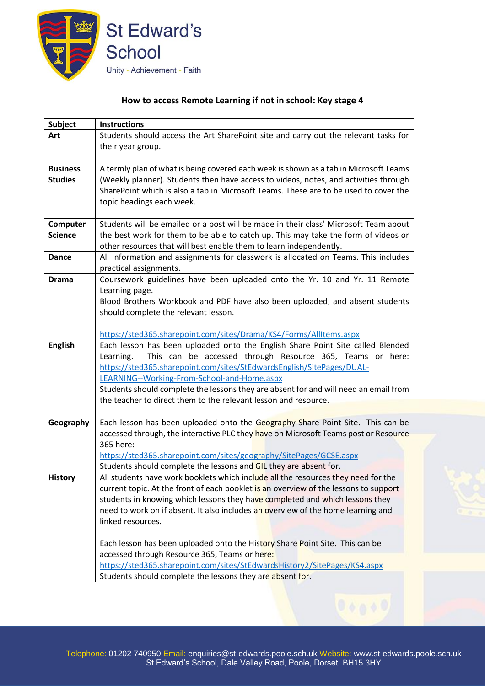

## **How to access Remote Learning if not in school: Key stage 4**

| <b>Subject</b>  | <b>Instructions</b>                                                                   |
|-----------------|---------------------------------------------------------------------------------------|
| Art             | Students should access the Art SharePoint site and carry out the relevant tasks for   |
|                 | their year group.                                                                     |
|                 |                                                                                       |
| <b>Business</b> | A termly plan of what is being covered each week is shown as a tab in Microsoft Teams |
| <b>Studies</b>  | (Weekly planner). Students then have access to videos, notes, and activities through  |
|                 | SharePoint which is also a tab in Microsoft Teams. These are to be used to cover the  |
|                 | topic headings each week.                                                             |
|                 |                                                                                       |
| Computer        | Students will be emailed or a post will be made in their class' Microsoft Team about  |
| <b>Science</b>  | the best work for them to be able to catch up. This may take the form of videos or    |
|                 | other resources that will best enable them to learn independently.                    |
| <b>Dance</b>    | All information and assignments for classwork is allocated on Teams. This includes    |
|                 | practical assignments.                                                                |
| <b>Drama</b>    | Coursework guidelines have been uploaded onto the Yr. 10 and Yr. 11 Remote            |
|                 | Learning page.                                                                        |
|                 | Blood Brothers Workbook and PDF have also been uploaded, and absent students          |
|                 | should complete the relevant lesson.                                                  |
|                 |                                                                                       |
|                 | https://sted365.sharepoint.com/sites/Drama/KS4/Forms/AllItems.aspx                    |
| <b>English</b>  | Each lesson has been uploaded onto the English Share Point Site called Blended        |
|                 | This can be accessed through Resource 365, Teams or here:<br>Learning.                |
|                 | https://sted365.sharepoint.com/sites/StEdwardsEnglish/SitePages/DUAL-                 |
|                 | LEARNING--Working-From-School-and-Home.aspx                                           |
|                 | Students should complete the lessons they are absent for and will need an email from  |
|                 | the teacher to direct them to the relevant lesson and resource.                       |
|                 |                                                                                       |
| Geography       | Each lesson has been uploaded onto the Geography Share Point Site. This can be        |
|                 | accessed through, the interactive PLC they have on Microsoft Teams post or Resource   |
|                 | 365 here:                                                                             |
|                 | https://sted365.sharepoint.com/sites/geography/SitePages/GCSE.aspx                    |
|                 | Students should complete the lessons and GIL they are absent for.                     |
| <b>History</b>  | All students have work booklets which include all the resources they need for the     |
|                 | current topic. At the front of each booklet is an overview of the lessons to support  |
|                 | students in knowing which lessons they have completed and which lessons they          |
|                 | need to work on if absent. It also includes an overview of the home learning and      |
|                 | linked resources.                                                                     |
|                 |                                                                                       |
|                 | Each lesson has been uploaded onto the History Share Point Site. This can be          |
|                 | accessed through Resource 365, Teams or here:                                         |
|                 | https://sted365.sharepoint.com/sites/StEdwardsHistory2/SitePages/KS4.aspx             |
|                 | Students should complete the lessons they are absent for.                             |